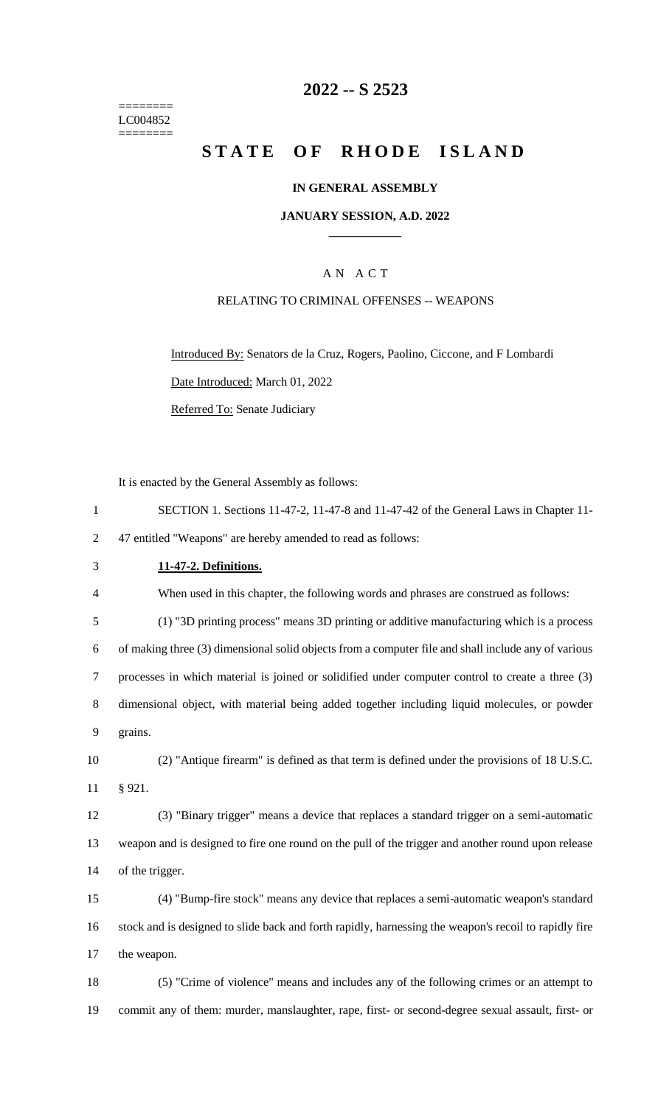======== LC004852 ========

## **-- S 2523**

# **STATE OF RHODE ISLAND**

#### **IN GENERAL ASSEMBLY**

#### **JANUARY SESSION, A.D. 2022 \_\_\_\_\_\_\_\_\_\_\_\_**

## A N A C T

#### RELATING TO CRIMINAL OFFENSES -- WEAPONS

Introduced By: Senators de la Cruz, Rogers, Paolino, Ciccone, and F Lombardi Date Introduced: March 01, 2022 Referred To: Senate Judiciary

It is enacted by the General Assembly as follows:

 SECTION 1. Sections 11-47-2, 11-47-8 and 11-47-42 of the General Laws in Chapter 11- 47 entitled "Weapons" are hereby amended to read as follows: **11-47-2. Definitions.** When used in this chapter, the following words and phrases are construed as follows: (1) "3D printing process" means 3D printing or additive manufacturing which is a process of making three (3) dimensional solid objects from a computer file and shall include any of various processes in which material is joined or solidified under computer control to create a three (3) dimensional object, with material being added together including liquid molecules, or powder grains. (2) "Antique firearm" is defined as that term is defined under the provisions of 18 U.S.C. § 921. (3) "Binary trigger" means a device that replaces a standard trigger on a semi-automatic weapon and is designed to fire one round on the pull of the trigger and another round upon release of the trigger. (4) "Bump-fire stock" means any device that replaces a semi-automatic weapon's standard stock and is designed to slide back and forth rapidly, harnessing the weapon's recoil to rapidly fire the weapon. (5) "Crime of violence" means and includes any of the following crimes or an attempt to commit any of them: murder, manslaughter, rape, first- or second-degree sexual assault, first- or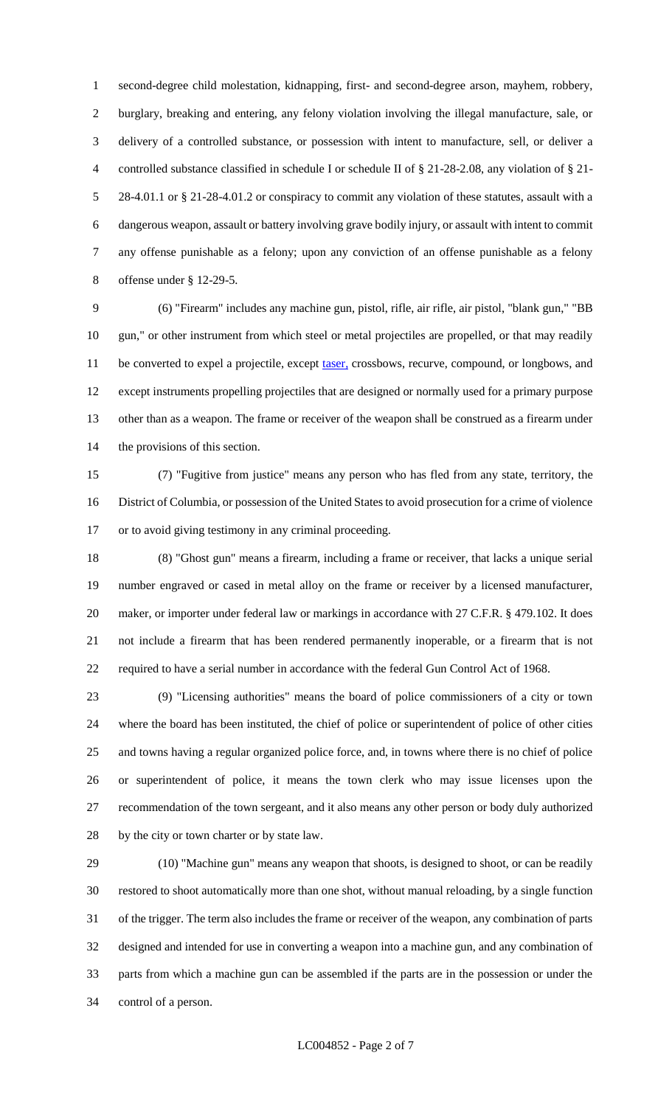second-degree child molestation, kidnapping, first- and second-degree arson, mayhem, robbery, burglary, breaking and entering, any felony violation involving the illegal manufacture, sale, or delivery of a controlled substance, or possession with intent to manufacture, sell, or deliver a controlled substance classified in schedule I or schedule II of § 21-28-2.08, any violation of § 21- 28-4.01.1 or § 21-28-4.01.2 or conspiracy to commit any violation of these statutes, assault with a dangerous weapon, assault or battery involving grave bodily injury, or assault with intent to commit any offense punishable as a felony; upon any conviction of an offense punishable as a felony offense under § 12-29-5.

 (6) "Firearm" includes any machine gun, pistol, rifle, air rifle, air pistol, "blank gun," "BB gun," or other instrument from which steel or metal projectiles are propelled, or that may readily 11 be converted to expel a projectile, except taser, crossbows, recurve, compound, or longbows, and except instruments propelling projectiles that are designed or normally used for a primary purpose other than as a weapon. The frame or receiver of the weapon shall be construed as a firearm under the provisions of this section.

 (7) "Fugitive from justice" means any person who has fled from any state, territory, the District of Columbia, or possession of the United States to avoid prosecution for a crime of violence or to avoid giving testimony in any criminal proceeding.

 (8) "Ghost gun" means a firearm, including a frame or receiver, that lacks a unique serial number engraved or cased in metal alloy on the frame or receiver by a licensed manufacturer, 20 maker, or importer under federal law or markings in accordance with 27 C.F.R. § 479.102. It does not include a firearm that has been rendered permanently inoperable, or a firearm that is not required to have a serial number in accordance with the federal Gun Control Act of 1968.

 (9) "Licensing authorities" means the board of police commissioners of a city or town where the board has been instituted, the chief of police or superintendent of police of other cities and towns having a regular organized police force, and, in towns where there is no chief of police or superintendent of police, it means the town clerk who may issue licenses upon the recommendation of the town sergeant, and it also means any other person or body duly authorized by the city or town charter or by state law.

 (10) "Machine gun" means any weapon that shoots, is designed to shoot, or can be readily restored to shoot automatically more than one shot, without manual reloading, by a single function of the trigger. The term also includes the frame or receiver of the weapon, any combination of parts designed and intended for use in converting a weapon into a machine gun, and any combination of parts from which a machine gun can be assembled if the parts are in the possession or under the control of a person.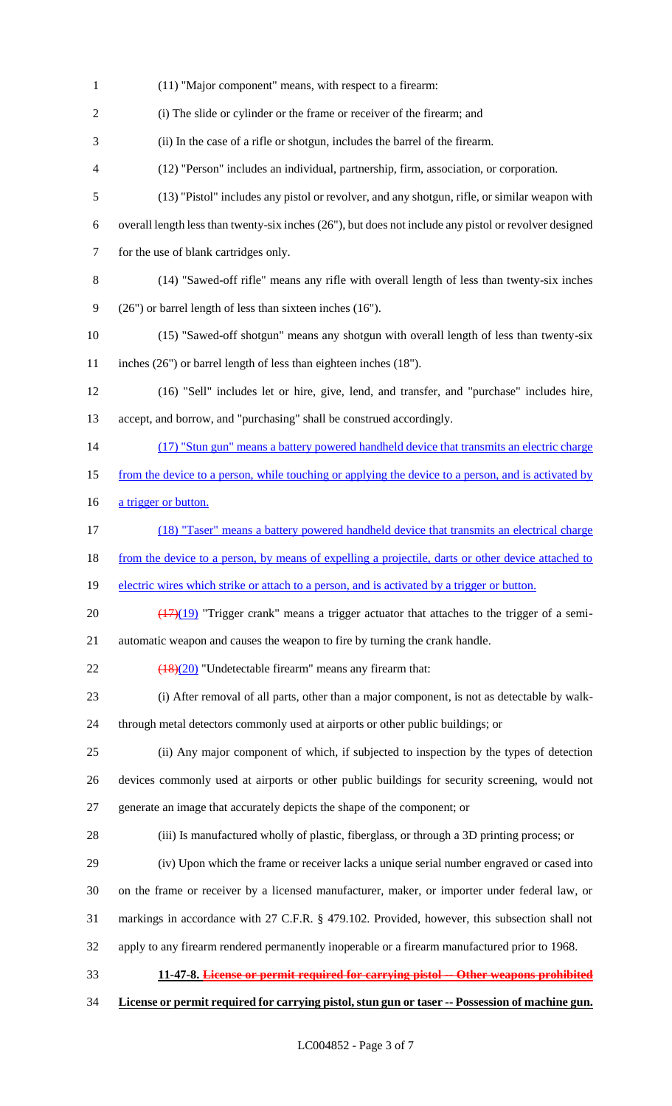(11) "Major component" means, with respect to a firearm: (i) The slide or cylinder or the frame or receiver of the firearm; and (ii) In the case of a rifle or shotgun, includes the barrel of the firearm. (12) "Person" includes an individual, partnership, firm, association, or corporation. (13) "Pistol" includes any pistol or revolver, and any shotgun, rifle, or similar weapon with overall length less than twenty-six inches (26"), but does not include any pistol or revolver designed for the use of blank cartridges only. (14) "Sawed-off rifle" means any rifle with overall length of less than twenty-six inches (26") or barrel length of less than sixteen inches (16"). (15) "Sawed-off shotgun" means any shotgun with overall length of less than twenty-six inches (26") or barrel length of less than eighteen inches (18"). (16) "Sell" includes let or hire, give, lend, and transfer, and "purchase" includes hire, accept, and borrow, and "purchasing" shall be construed accordingly. 14 (17) "Stun gun" means a battery powered handheld device that transmits an electric charge 15 from the device to a person, while touching or applying the device to a person, and is activated by 16 a trigger or button. (18) "Taser" means a battery powered handheld device that transmits an electrical charge 18 from the device to a person, by means of expelling a projectile, darts or other device attached to 19 electric wires which strike or attach to a person, and is activated by a trigger or button.  $\left(\frac{(17)(19)}{(17)(19)}\right)$  "Trigger crank" means a trigger actuator that attaches to the trigger of a semi- automatic weapon and causes the weapon to fire by turning the crank handle.  $\sqrt{(18)(20)}$  "Undetectable firearm" means any firearm that: (i) After removal of all parts, other than a major component, is not as detectable by walk- through metal detectors commonly used at airports or other public buildings; or (ii) Any major component of which, if subjected to inspection by the types of detection devices commonly used at airports or other public buildings for security screening, would not generate an image that accurately depicts the shape of the component; or (iii) Is manufactured wholly of plastic, fiberglass, or through a 3D printing process; or (iv) Upon which the frame or receiver lacks a unique serial number engraved or cased into on the frame or receiver by a licensed manufacturer, maker, or importer under federal law, or markings in accordance with 27 C.F.R. § 479.102. Provided, however, this subsection shall not apply to any firearm rendered permanently inoperable or a firearm manufactured prior to 1968. **11-47-8. License or permit required for carrying pistol -- Other weapons prohibited License or permit required for carrying pistol, stun gun or taser -- Possession of machine gun.**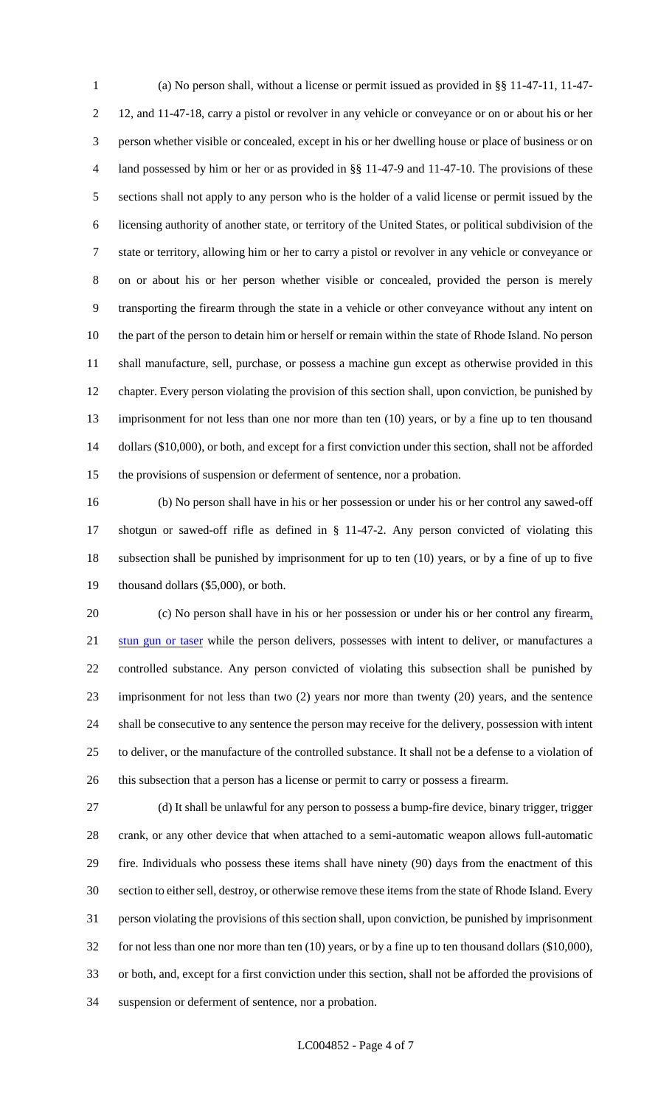(a) No person shall, without a license or permit issued as provided in §§ 11-47-11, 11-47- 12, and 11-47-18, carry a pistol or revolver in any vehicle or conveyance or on or about his or her person whether visible or concealed, except in his or her dwelling house or place of business or on land possessed by him or her or as provided in §§ 11-47-9 and 11-47-10. The provisions of these sections shall not apply to any person who is the holder of a valid license or permit issued by the licensing authority of another state, or territory of the United States, or political subdivision of the state or territory, allowing him or her to carry a pistol or revolver in any vehicle or conveyance or on or about his or her person whether visible or concealed, provided the person is merely transporting the firearm through the state in a vehicle or other conveyance without any intent on the part of the person to detain him or herself or remain within the state of Rhode Island. No person shall manufacture, sell, purchase, or possess a machine gun except as otherwise provided in this chapter. Every person violating the provision of this section shall, upon conviction, be punished by imprisonment for not less than one nor more than ten (10) years, or by a fine up to ten thousand dollars (\$10,000), or both, and except for a first conviction under this section, shall not be afforded the provisions of suspension or deferment of sentence, nor a probation.

 (b) No person shall have in his or her possession or under his or her control any sawed-off shotgun or sawed-off rifle as defined in § 11-47-2. Any person convicted of violating this subsection shall be punished by imprisonment for up to ten (10) years, or by a fine of up to five thousand dollars (\$5,000), or both.

 (c) No person shall have in his or her possession or under his or her control any firearm, 21 stun gun or taser while the person delivers, possesses with intent to deliver, or manufactures a controlled substance. Any person convicted of violating this subsection shall be punished by imprisonment for not less than two (2) years nor more than twenty (20) years, and the sentence shall be consecutive to any sentence the person may receive for the delivery, possession with intent to deliver, or the manufacture of the controlled substance. It shall not be a defense to a violation of this subsection that a person has a license or permit to carry or possess a firearm.

 (d) It shall be unlawful for any person to possess a bump-fire device, binary trigger, trigger crank, or any other device that when attached to a semi-automatic weapon allows full-automatic fire. Individuals who possess these items shall have ninety (90) days from the enactment of this section to either sell, destroy, or otherwise remove these items from the state of Rhode Island. Every person violating the provisions of this section shall, upon conviction, be punished by imprisonment for not less than one nor more than ten (10) years, or by a fine up to ten thousand dollars (\$10,000), or both, and, except for a first conviction under this section, shall not be afforded the provisions of suspension or deferment of sentence, nor a probation.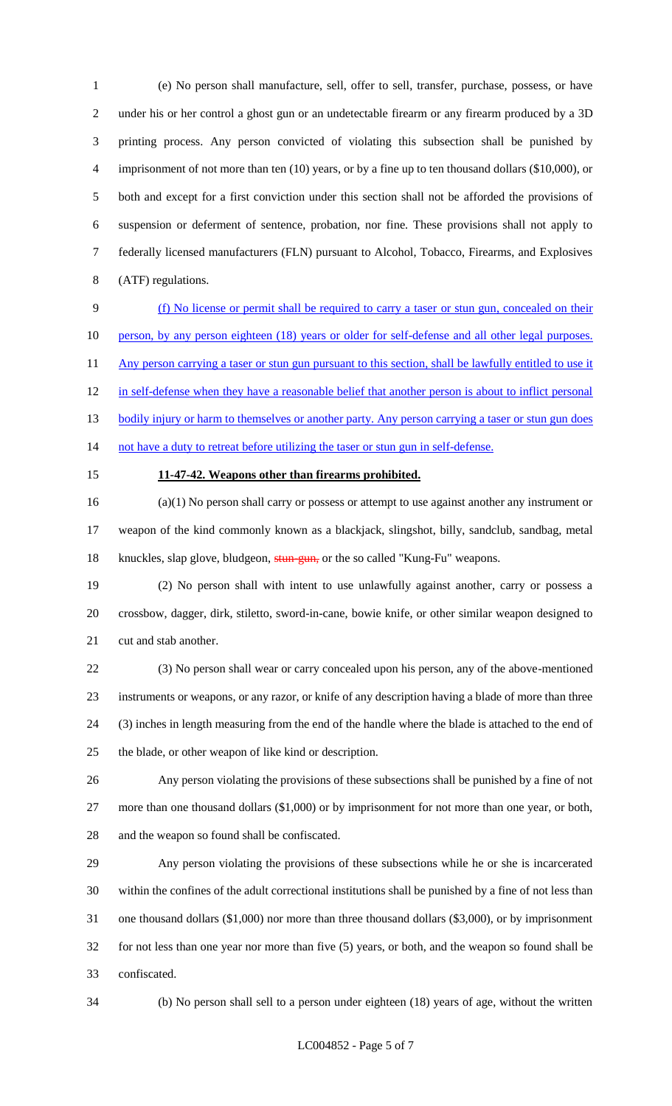(e) No person shall manufacture, sell, offer to sell, transfer, purchase, possess, or have under his or her control a ghost gun or an undetectable firearm or any firearm produced by a 3D printing process. Any person convicted of violating this subsection shall be punished by 4 imprisonment of not more than ten (10) years, or by a fine up to ten thousand dollars (\$10,000), or both and except for a first conviction under this section shall not be afforded the provisions of suspension or deferment of sentence, probation, nor fine. These provisions shall not apply to federally licensed manufacturers (FLN) pursuant to Alcohol, Tobacco, Firearms, and Explosives (ATF) regulations.

 (f) No license or permit shall be required to carry a taser or stun gun, concealed on their 10 person, by any person eighteen (18) years or older for self-defense and all other legal purposes. 11 Any person carrying a taser or stun gun pursuant to this section, shall be lawfully entitled to use it 12 in self-defense when they have a reasonable belief that another person is about to inflict personal 13 bodily injury or harm to themselves or another party. Any person carrying a taser or stun gun does 14 not have a duty to retreat before utilizing the taser or stun gun in self-defense.

#### **11-47-42. Weapons other than firearms prohibited.**

 (a)(1) No person shall carry or possess or attempt to use against another any instrument or weapon of the kind commonly known as a blackjack, slingshot, billy, sandclub, sandbag, metal 18 knuckles, slap glove, bludgeon, stun-gun, or the so called "Kung-Fu" weapons.

 (2) No person shall with intent to use unlawfully against another, carry or possess a crossbow, dagger, dirk, stiletto, sword-in-cane, bowie knife, or other similar weapon designed to cut and stab another.

 (3) No person shall wear or carry concealed upon his person, any of the above-mentioned instruments or weapons, or any razor, or knife of any description having a blade of more than three (3) inches in length measuring from the end of the handle where the blade is attached to the end of the blade, or other weapon of like kind or description.

 Any person violating the provisions of these subsections shall be punished by a fine of not 27 more than one thousand dollars (\$1,000) or by imprisonment for not more than one year, or both, and the weapon so found shall be confiscated.

 Any person violating the provisions of these subsections while he or she is incarcerated within the confines of the adult correctional institutions shall be punished by a fine of not less than one thousand dollars (\$1,000) nor more than three thousand dollars (\$3,000), or by imprisonment for not less than one year nor more than five (5) years, or both, and the weapon so found shall be confiscated.

(b) No person shall sell to a person under eighteen (18) years of age, without the written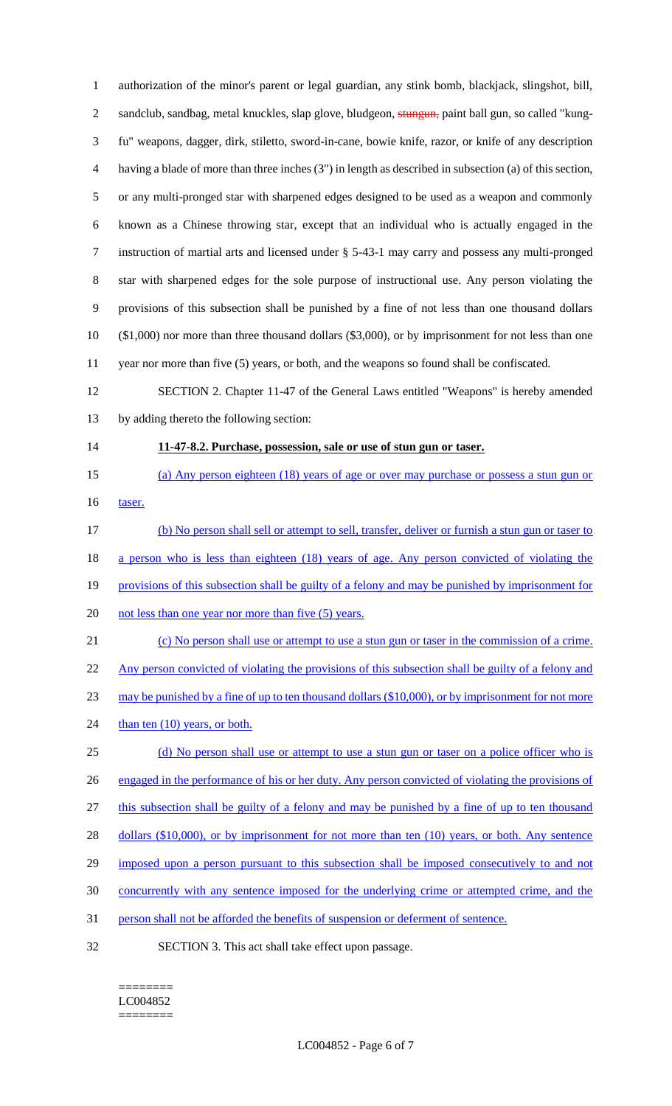authorization of the minor's parent or legal guardian, any stink bomb, blackjack, slingshot, bill, 2 sandclub, sandbag, metal knuckles, slap glove, bludgeon, stungun, paint ball gun, so called "kung- fu" weapons, dagger, dirk, stiletto, sword-in-cane, bowie knife, razor, or knife of any description having a blade of more than three inches (3") in length as described in subsection (a) of this section, or any multi-pronged star with sharpened edges designed to be used as a weapon and commonly known as a Chinese throwing star, except that an individual who is actually engaged in the instruction of martial arts and licensed under § 5-43-1 may carry and possess any multi-pronged star with sharpened edges for the sole purpose of instructional use. Any person violating the provisions of this subsection shall be punished by a fine of not less than one thousand dollars (\$1,000) nor more than three thousand dollars (\$3,000), or by imprisonment for not less than one year nor more than five (5) years, or both, and the weapons so found shall be confiscated. SECTION 2. Chapter 11-47 of the General Laws entitled "Weapons" is hereby amended

by adding thereto the following section:

#### **11-47-8.2. Purchase, possession, sale or use of stun gun or taser.**

- (a) Any person eighteen (18) years of age or over may purchase or possess a stun gun or 16 taser.
- (b) No person shall sell or attempt to sell, transfer, deliver or furnish a stun gun or taser to 18 a person who is less than eighteen (18) years of age. Any person convicted of violating the 19 provisions of this subsection shall be guilty of a felony and may be punished by imprisonment for 20 not less than one year nor more than five (5) years.
- (c) No person shall use or attempt to use a stun gun or taser in the commission of a crime. Any person convicted of violating the provisions of this subsection shall be guilty of a felony and may be punished by a fine of up to ten thousand dollars (\$10,000), or by imprisonment for not more 24 than ten (10) years, or both. 25 (d) No person shall use or attempt to use a stun gun or taser on a police officer who is 26 engaged in the performance of his or her duty. Any person convicted of violating the provisions of this subsection shall be guilty of a felony and may be punished by a fine of up to ten thousand
- 28 dollars (\$10,000), or by imprisonment for not more than ten (10) years, or both. Any sentence
- 29 imposed upon a person pursuant to this subsection shall be imposed consecutively to and not
- concurrently with any sentence imposed for the underlying crime or attempted crime, and the
- person shall not be afforded the benefits of suspension or deferment of sentence.
- SECTION 3. This act shall take effect upon passage.

#### ======== LC004852